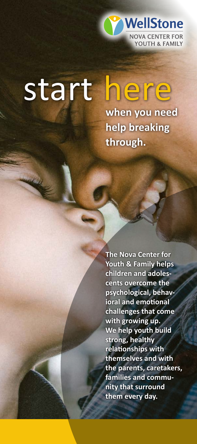

# start here

**when you need help breaking through.**

**The Nova Center for Youth & Family helps children and adolescents overcome the psychological, behavioral and emotional challenges that come with growing up. We help youth build strong, healthy relationships with themselves and with the parents, caretakers, families and community that surround them every day.**